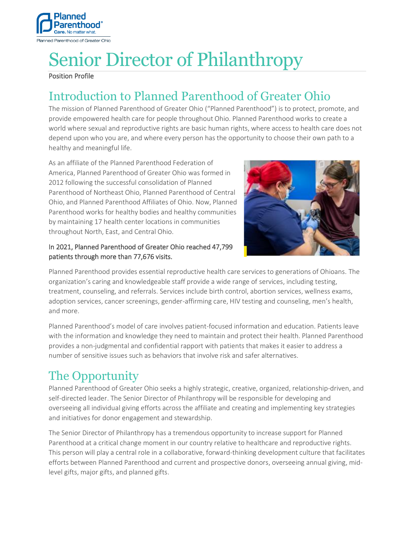

# Senior Director of Philanthropy

#### Position Profile

# Introduction to Planned Parenthood of Greater Ohio

The mission of Planned Parenthood of Greater Ohio ("Planned Parenthood") is to protect, promote, and provide empowered health care for people throughout Ohio. Planned Parenthood works to create a world where sexual and reproductive rights are basic human rights, where access to health care does not depend upon who you are, and where every person has the opportunity to choose their own path to a healthy and meaningful life.

As an affiliate of the Planned Parenthood Federation of America, Planned Parenthood of Greater Ohio was formed in 2012 following the successful consolidation of Planned Parenthood of Northeast Ohio, Planned Parenthood of Central Ohio, and Planned Parenthood Affiliates of Ohio. Now, Planned Parenthood works for healthy bodies and healthy communities by maintaining 17 health center locations in communities throughout North, East, and Central Ohio.

#### In 2021, Planned Parenthood of Greater Ohio reached 47,799 patients through more than 77,676 visits.



Planned Parenthood provides essential reproductive health care services to generations of Ohioans. The organization's caring and knowledgeable staff provide a wide range of services, including testing, treatment, counseling, and referrals. Services include birth control, abortion services, wellness exams, adoption services, cancer screenings, gender-affirming care, HIV testing and counseling, men's health, and more.

Planned Parenthood's model of care involves patient-focused information and education. Patients leave with the information and knowledge they need to maintain and protect their health. Planned Parenthood provides a non-judgmental and confidential rapport with patients that makes it easier to address a number of sensitive issues such as behaviors that involve risk and safer alternatives.

# The Opportunity

Planned Parenthood of Greater Ohio seeks a highly strategic, creative, organized, relationship-driven, and self-directed leader. The Senior Director of Philanthropy will be responsible for developing and overseeing all individual giving efforts across the affiliate and creating and implementing key strategies and initiatives for donor engagement and stewardship.

The Senior Director of Philanthropy has a tremendous opportunity to increase support for Planned Parenthood at a critical change moment in our country relative to healthcare and reproductive rights. This person will play a central role in a collaborative, forward-thinking development culture that facilitates efforts between Planned Parenthood and current and prospective donors, overseeing annual giving, midlevel gifts, major gifts, and planned gifts.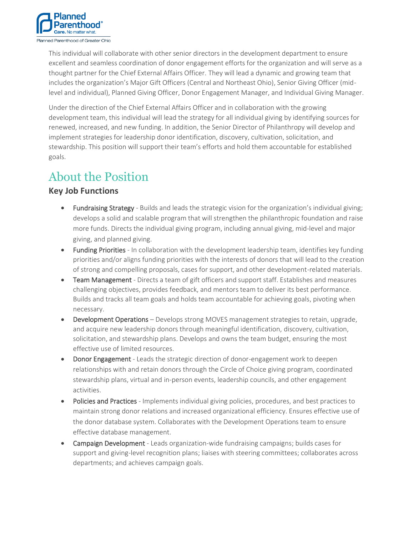

This individual will collaborate with other senior directors in the development department to ensure excellent and seamless coordination of donor engagement efforts for the organization and will serve as a thought partner for the Chief External Affairs Officer. They will lead a dynamic and growing team that includes the organization's Major Gift Officers (Central and Northeast Ohio), Senior Giving Officer (midlevel and individual), Planned Giving Officer, Donor Engagement Manager, and Individual Giving Manager.

Under the direction of the Chief External Affairs Officer and in collaboration with the growing development team, this individual will lead the strategy for all individual giving by identifying sources for renewed, increased, and new funding. In addition, the Senior Director of Philanthropy will develop and implement strategies for leadership donor identification, discovery, cultivation, solicitation, and stewardship. This position will support their team's efforts and hold them accountable for established goals.

## About the Position

### **Key Job Functions**

- Fundraising Strategy Builds and leads the strategic vision for the organization's individual giving; develops a solid and scalable program that will strengthen the philanthropic foundation and raise more funds. Directs the individual giving program, including annual giving, mid-level and major giving, and planned giving.
- Funding Priorities In collaboration with the development leadership team, identifies key funding priorities and/or aligns funding priorities with the interests of donors that will lead to the creation of strong and compelling proposals, cases for support, and other development-related materials.
- **Team Management** Directs a team of gift officers and support staff. Establishes and measures challenging objectives, provides feedback, and mentors team to deliver its best performance. Builds and tracks all team goals and holds team accountable for achieving goals, pivoting when necessary.
- Development Operations Develops strong MOVES management strategies to retain, upgrade, and acquire new leadership donors through meaningful identification, discovery, cultivation, solicitation, and stewardship plans. Develops and owns the team budget, ensuring the most effective use of limited resources.
- **Donor Engagement** Leads the strategic direction of donor-engagement work to deepen relationships with and retain donors through the Circle of Choice giving program, coordinated stewardship plans, virtual and in-person events, leadership councils, and other engagement activities.
- Policies and Practices Implements individual giving policies, procedures, and best practices to maintain strong donor relations and increased organizational efficiency. Ensures effective use of the donor database system. Collaborates with the Development Operations team to ensure effective database management.
- Campaign Development Leads organization-wide fundraising campaigns; builds cases for support and giving-level recognition plans; liaises with steering committees; collaborates across departments; and achieves campaign goals.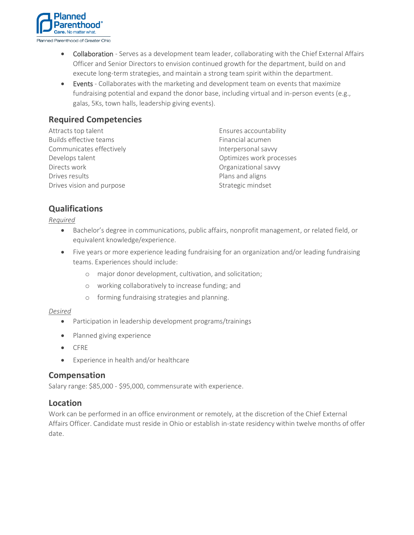

- Collaboration Serves as a development team leader, collaborating with the Chief External Affairs Officer and Senior Directors to envision continued growth for the department, build on and execute long-term strategies, and maintain a strong team spirit within the department.
- Events Collaborates with the marketing and development team on events that maximize fundraising potential and expand the donor base, including virtual and in-person events (e.g., galas, 5Ks, town halls, leadership giving events).

### **Required Competencies**

| Attracts top talent       | Ensures accountability   |
|---------------------------|--------------------------|
| Builds effective teams    | Financial acumen         |
| Communicates effectively  | Interpersonal savvy      |
| Develops talent           | Optimizes work processes |
| Directs work              | Organizational savvy     |
| Drives results            | Plans and aligns         |
| Drives vision and purpose | Strategic mindset        |

### **Qualifications**

*Required*

- Bachelor's degree in communications, public affairs, nonprofit management, or related field, or equivalent knowledge/experience.
- Five years or more experience leading fundraising for an organization and/or leading fundraising teams. Experiences should include:
	- o major donor development, cultivation, and solicitation;
	- o working collaboratively to increase funding; and
	- o forming fundraising strategies and planning.

#### *Desired*

- Participation in leadership development programs/trainings
- Planned giving experience
- CFRE
- Experience in health and/or healthcare

#### **Compensation**

Salary range: \$85,000 - \$95,000, commensurate with experience.

#### **Location**

Work can be performed in an office environment or remotely, at the discretion of the Chief External Affairs Officer. Candidate must reside in Ohio or establish in-state residency within twelve months of offer date.